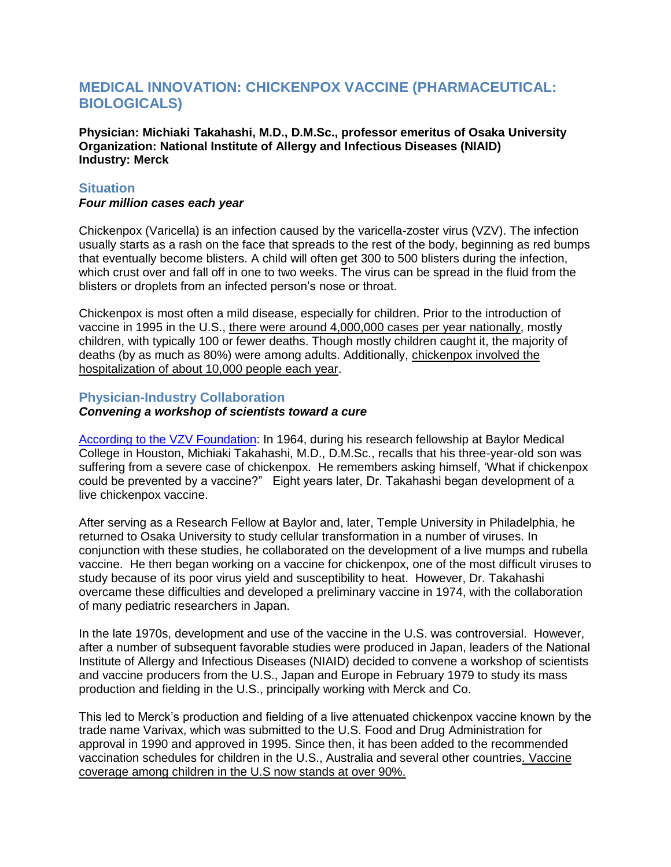# **MEDICAL INNOVATION: CHICKENPOX VACCINE (PHARMACEUTICAL: BIOLOGICALS)**

**Physician: Michiaki Takahashi, M.D., D.M.Sc., professor emeritus of Osaka University Organization: National Institute of Allergy and Infectious Diseases (NIAID) Industry: Merck**

## **Situation**

#### *Four million cases each year*

Chickenpox (Varicella) is an infection caused by the varicella-zoster virus (VZV). The infection usually starts as a rash on the face that spreads to the rest of the body, beginning as red bumps that eventually become blisters. A child will often get 300 to 500 blisters during the infection, which crust over and fall off in one to two weeks. The virus can be spread in the fluid from the blisters or droplets from an infected person's nose or throat.

Chickenpox is most often a mild disease, especially for children. Prior to the introduction of vaccine in 1995 in the U.S., there were around 4,000,000 cases per year nationally, mostly children, with typically 100 or fewer deaths. Though mostly children caught it, the majority of deaths (by as much as 80%) were among adults. Additionally, chickenpox involved the hospitalization of about 10,000 people each year.

#### **Physician-Industry Collaboration**

#### *Convening a workshop of scientists toward a cure*

[According to the VZV Foundation:](http://www.vzvfoundation.org/ScientificAchievementAward.html) In 1964, during his research fellowship at Baylor Medical College in Houston, Michiaki Takahashi, M.D., D.M.Sc., recalls that his three-year-old son was suffering from a severe case of chickenpox. He remembers asking himself, "What if chickenpox could be prevented by a vaccine?" Eight years later, Dr. Takahashi began development of a live chickenpox vaccine.

After serving as a Research Fellow at Baylor and, later, Temple University in Philadelphia, he returned to Osaka University to study cellular transformation in a number of viruses. In conjunction with these studies, he collaborated on the development of a live mumps and rubella vaccine. He then began working on a vaccine for chickenpox, one of the most difficult viruses to study because of its poor virus yield and susceptibility to heat. However, Dr. Takahashi overcame these difficulties and developed a preliminary vaccine in 1974, with the collaboration of many pediatric researchers in Japan.

In the late 1970s, development and use of the vaccine in the U.S. was controversial. However, after a number of subsequent favorable studies were produced in Japan, leaders of the National Institute of Allergy and Infectious Diseases (NIAID) decided to convene a workshop of scientists and vaccine producers from the U.S., Japan and Europe in February 1979 to study its mass production and fielding in the U.S., principally working with Merck and Co.

This led to Merck"s production and fielding of a live attenuated chickenpox vaccine known by the trade name Varivax, which was submitted to the U.S. Food and Drug Administration for approval in 1990 and approved in 1995. Since then, it has been added to the recommended vaccination schedules for children in the U.S., Australia and several other countries. Vaccine coverage among children in the U.S now stands at over 90%.